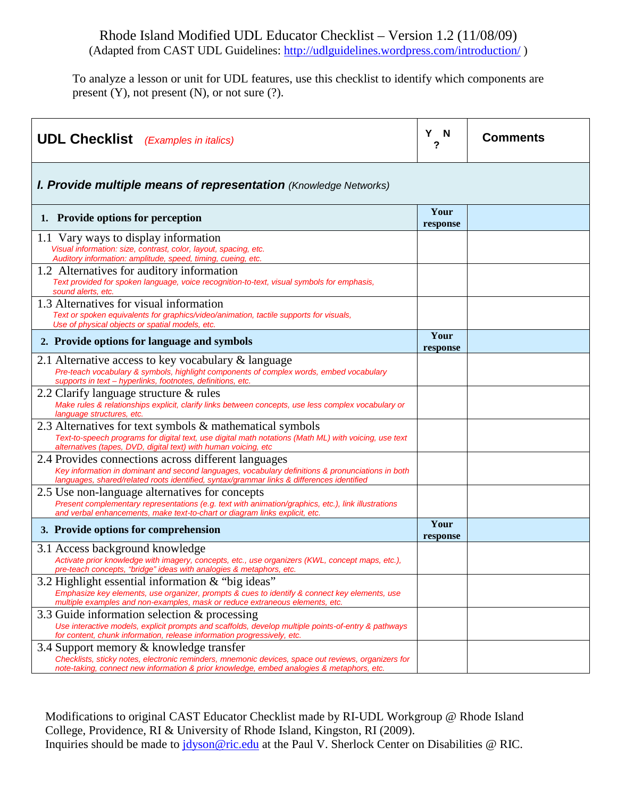To analyze a lesson or unit for UDL features, use this checklist to identify which components are present  $(Y)$ , not present  $(N)$ , or not sure  $(?)$ .

| <b>UDL Checklist</b><br>(Examples in italics)                                                                                                                                                                                                         | Υ<br>N<br>?      | <b>Comments</b> |
|-------------------------------------------------------------------------------------------------------------------------------------------------------------------------------------------------------------------------------------------------------|------------------|-----------------|
| I. Provide multiple means of representation (Knowledge Networks)                                                                                                                                                                                      |                  |                 |
| 1. Provide options for perception                                                                                                                                                                                                                     | Your<br>response |                 |
| 1.1 Vary ways to display information<br>Visual information: size, contrast, color, layout, spacing, etc.<br>Auditory information: amplitude, speed, timing, cueing, etc.                                                                              |                  |                 |
| 1.2 Alternatives for auditory information<br>Text provided for spoken language, voice recognition-to-text, visual symbols for emphasis,<br>sound alerts, etc.                                                                                         |                  |                 |
| 1.3 Alternatives for visual information<br>Text or spoken equivalents for graphics/video/animation, tactile supports for visuals,<br>Use of physical objects or spatial models, etc.                                                                  |                  |                 |
| 2. Provide options for language and symbols                                                                                                                                                                                                           | Your<br>response |                 |
| 2.1 Alternative access to key vocabulary & language<br>Pre-teach vocabulary & symbols, highlight components of complex words, embed vocabulary<br>supports in text - hyperlinks, footnotes, definitions, etc.                                         |                  |                 |
| 2.2 Clarify language structure & rules<br>Make rules & relationships explicit, clarify links between concepts, use less complex vocabulary or<br>language structures, etc.                                                                            |                  |                 |
| 2.3 Alternatives for text symbols & mathematical symbols<br>Text-to-speech programs for digital text, use digital math notations (Math ML) with voicing, use text<br>alternatives (tapes, DVD, digital text) with human voicing, etc                  |                  |                 |
| 2.4 Provides connections across different languages<br>Key information in dominant and second languages, vocabulary definitions & pronunciations in both<br>languages, shared/related roots identified, syntax/grammar links & differences identified |                  |                 |
| 2.5 Use non-language alternatives for concepts<br>Present complementary representations (e.g. text with animation/graphics, etc.), link illustrations<br>and verbal enhancements, make text-to-chart or diagram links explicit, etc.                  |                  |                 |
| 3. Provide options for comprehension                                                                                                                                                                                                                  | Your<br>response |                 |
| 3.1 Access background knowledge<br>Activate prior knowledge with imagery, concepts, etc., use organizers (KWL, concept maps, etc.),<br>pre-teach concepts, "bridge" ideas with analogies & metaphors, etc.                                            |                  |                 |
| 3.2 Highlight essential information & "big ideas"<br>Emphasize key elements, use organizer, prompts & cues to identify & connect key elements, use<br>multiple examples and non-examples, mask or reduce extraneous elements, etc.                    |                  |                 |
| 3.3 Guide information selection & processing<br>Use interactive models, explicit prompts and scaffolds, develop multiple points-of-entry & pathways<br>for content, chunk information, release information progressively, etc.                        |                  |                 |
| 3.4 Support memory & knowledge transfer<br>Checklists, sticky notes, electronic reminders, mnemonic devices, space out reviews, organizers for<br>note-taking, connect new information & prior knowledge, embed analogies & metaphors, etc.           |                  |                 |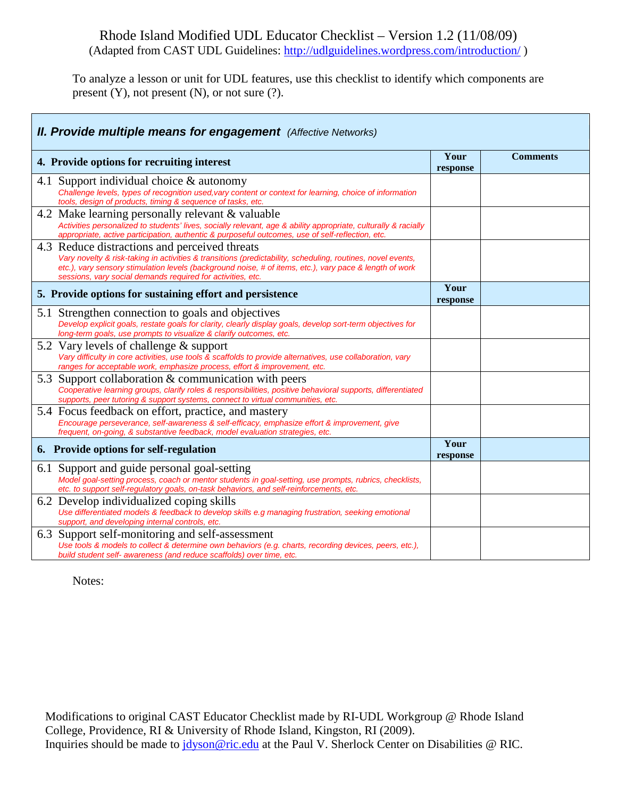To analyze a lesson or unit for UDL features, use this checklist to identify which components are present (Y), not present (N), or not sure (?).

| <b>II. Provide multiple means for engagement</b> (Affective Networks)                                                                                                                                                                                                                                                                  |                  |                 |
|----------------------------------------------------------------------------------------------------------------------------------------------------------------------------------------------------------------------------------------------------------------------------------------------------------------------------------------|------------------|-----------------|
| 4. Provide options for recruiting interest                                                                                                                                                                                                                                                                                             | Your<br>response | <b>Comments</b> |
| 4.1 Support individual choice & autonomy<br>Challenge levels, types of recognition used, vary content or context for learning, choice of information<br>tools, design of products, timing & sequence of tasks, etc.                                                                                                                    |                  |                 |
| 4.2 Make learning personally relevant & valuable<br>Activities personalized to students' lives, socially relevant, age & ability appropriate, culturally & racially<br>appropriate, active participation, authentic & purposeful outcomes, use of self-reflection, etc.                                                                |                  |                 |
| 4.3 Reduce distractions and perceived threats<br>Vary novelty & risk-taking in activities & transitions (predictability, scheduling, routines, novel events,<br>etc.), vary sensory stimulation levels (background noise, # of items, etc.), vary pace & length of work<br>sessions, vary social demands required for activities, etc. |                  |                 |
| 5. Provide options for sustaining effort and persistence                                                                                                                                                                                                                                                                               | Your<br>response |                 |
| 5.1 Strengthen connection to goals and objectives<br>Develop explicit goals, restate goals for clarity, clearly display goals, develop sort-term objectives for<br>long-term goals, use prompts to visualize & clarify outcomes, etc.                                                                                                  |                  |                 |
| 5.2 Vary levels of challenge & support<br>Vary difficulty in core activities, use tools & scaffolds to provide alternatives, use collaboration, vary<br>ranges for acceptable work, emphasize process, effort & improvement, etc.                                                                                                      |                  |                 |
| 5.3 Support collaboration & communication with peers<br>Cooperative learning groups, clarify roles & responsibilities, positive behavioral supports, differentiated<br>supports, peer tutoring & support systems, connect to virtual communities, etc.                                                                                 |                  |                 |
| 5.4 Focus feedback on effort, practice, and mastery<br>Encourage perseverance, self-awareness & self-efficacy, emphasize effort & improvement, give<br>frequent, on-going, & substantive feedback, model evaluation strategies, etc.                                                                                                   |                  |                 |
| 6. Provide options for self-regulation                                                                                                                                                                                                                                                                                                 | Your<br>response |                 |
| Support and guide personal goal-setting<br>6.1<br>Model goal-setting process, coach or mentor students in goal-setting, use prompts, rubrics, checklists,<br>etc. to support self-regulatory goals, on-task behaviors, and self-reinforcements, etc.                                                                                   |                  |                 |
| 6.2 Develop individualized coping skills<br>Use differentiated models & feedback to develop skills e.g managing frustration, seeking emotional<br>support, and developing internal controls, etc.                                                                                                                                      |                  |                 |
| 6.3 Support self-monitoring and self-assessment<br>Use tools & models to collect & determine own behaviors (e.g. charts, recording devices, peers, etc.),<br>build student self- awareness (and reduce scaffolds) over time, etc.                                                                                                      |                  |                 |

Notes: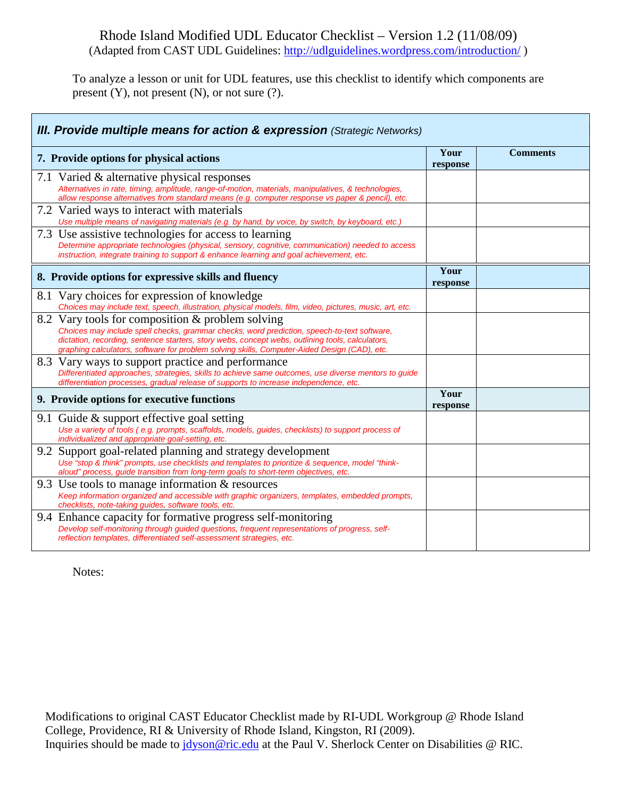To analyze a lesson or unit for UDL features, use this checklist to identify which components are present (Y), not present (N), or not sure (?).

| <b>III. Provide multiple means for action &amp; expression (Strategic Networks)</b>                                                                                                                                                                                                                                                                 |                  |                 |
|-----------------------------------------------------------------------------------------------------------------------------------------------------------------------------------------------------------------------------------------------------------------------------------------------------------------------------------------------------|------------------|-----------------|
| 7. Provide options for physical actions                                                                                                                                                                                                                                                                                                             | Your<br>response | <b>Comments</b> |
| 7.1 Varied & alternative physical responses<br>Alternatives in rate, timing, amplitude, range-of-motion, materials, manipulatives, & technologies,<br>allow response alternatives from standard means (e.g. computer response vs paper & pencil), etc.                                                                                              |                  |                 |
| 7.2 Varied ways to interact with materials<br>Use multiple means of navigating materials (e.g. by hand, by voice, by switch, by keyboard, etc.)                                                                                                                                                                                                     |                  |                 |
| 7.3 Use assistive technologies for access to learning<br>Determine appropriate technologies (physical, sensory, cognitive, communication) needed to access<br>instruction, integrate training to support & enhance learning and goal achievement, etc.                                                                                              |                  |                 |
| 8. Provide options for expressive skills and fluency                                                                                                                                                                                                                                                                                                | Your<br>response |                 |
| 8.1 Vary choices for expression of knowledge<br>Choices may include text, speech, illustration, physical models, film, video, pictures, music, art, etc.                                                                                                                                                                                            |                  |                 |
| 8.2 Vary tools for composition & problem solving<br>Choices may include spell checks, grammar checks, word prediction, speech-to-text software,<br>dictation, recording, sentence starters, story webs, concept webs, outlining tools, calculators,<br>graphing calculators, software for problem solving skills, Computer-Aided Design (CAD), etc. |                  |                 |
| 8.3 Vary ways to support practice and performance<br>Differentiated approaches, strategies, skills to achieve same outcomes, use diverse mentors to guide<br>differentiation processes, gradual release of supports to increase independence, etc.                                                                                                  |                  |                 |
| 9. Provide options for executive functions                                                                                                                                                                                                                                                                                                          | Your<br>response |                 |
| 9.1 Guide & support effective goal setting<br>Use a variety of tools (e.g. prompts, scaffolds, models, guides, checklists) to support process of<br>individualized and appropriate goal-setting, etc.                                                                                                                                               |                  |                 |
| 9.2 Support goal-related planning and strategy development<br>Use "stop & think" prompts, use checklists and templates to prioritize & sequence, model "think-<br>aloud" process, guide transition from long-term goals to short-term objectives, etc.                                                                                              |                  |                 |
| 9.3 Use tools to manage information $\&$ resources<br>Keep information organized and accessible with graphic organizers, templates, embedded prompts,<br>checklists, note-taking guides, software tools, etc.                                                                                                                                       |                  |                 |
| 9.4 Enhance capacity for formative progress self-monitoring<br>Develop self-monitoring through guided questions, frequent representations of progress, self-<br>reflection templates, differentiated self-assessment strategies, etc.                                                                                                               |                  |                 |

Notes: